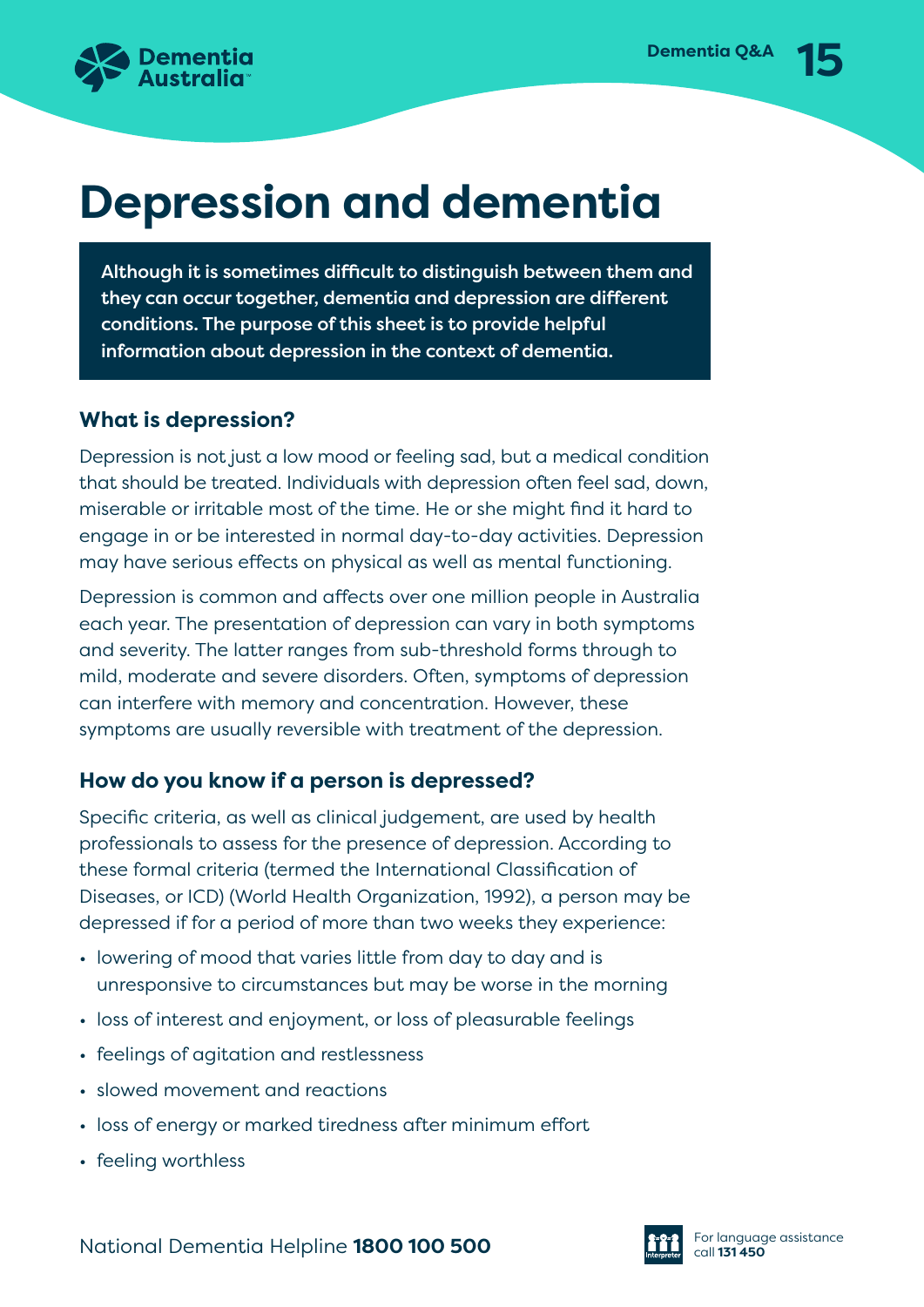

# **Depression and dementia**

Although it is sometimes difficult to distinguish between them and they can occur together, dementia and depression are different conditions. The purpose of this sheet is to provide helpful information about depression in the context of dementia.

## **What is depression?**

Depression is not just a low mood or feeling sad, but a medical condition that should be treated. Individuals with depression often feel sad, down, miserable or irritable most of the time. He or she might find it hard to engage in or be interested in normal day-to-day activities. Depression may have serious effects on physical as well as mental functioning.

Depression is common and affects over one million people in Australia each year. The presentation of depression can vary in both symptoms and severity. The latter ranges from sub-threshold forms through to mild, moderate and severe disorders. Often, symptoms of depression can interfere with memory and concentration. However, these symptoms are usually reversible with treatment of the depression.

# **How do you know if a person is depressed?**

Specific criteria, as well as clinical judgement, are used by health professionals to assess for the presence of depression. According to these formal criteria (termed the International Classification of Diseases, or ICD) (World Health Organization, 1992), a person may be depressed if for a period of more than two weeks they experience:

- lowering of mood that varies little from day to day and is unresponsive to circumstances but may be worse in the morning
- loss of interest and enjoyment, or loss of pleasurable feelings
- feelings of agitation and restlessness
- slowed movement and reactions
- loss of energy or marked tiredness after minimum effort
- feeling worthless

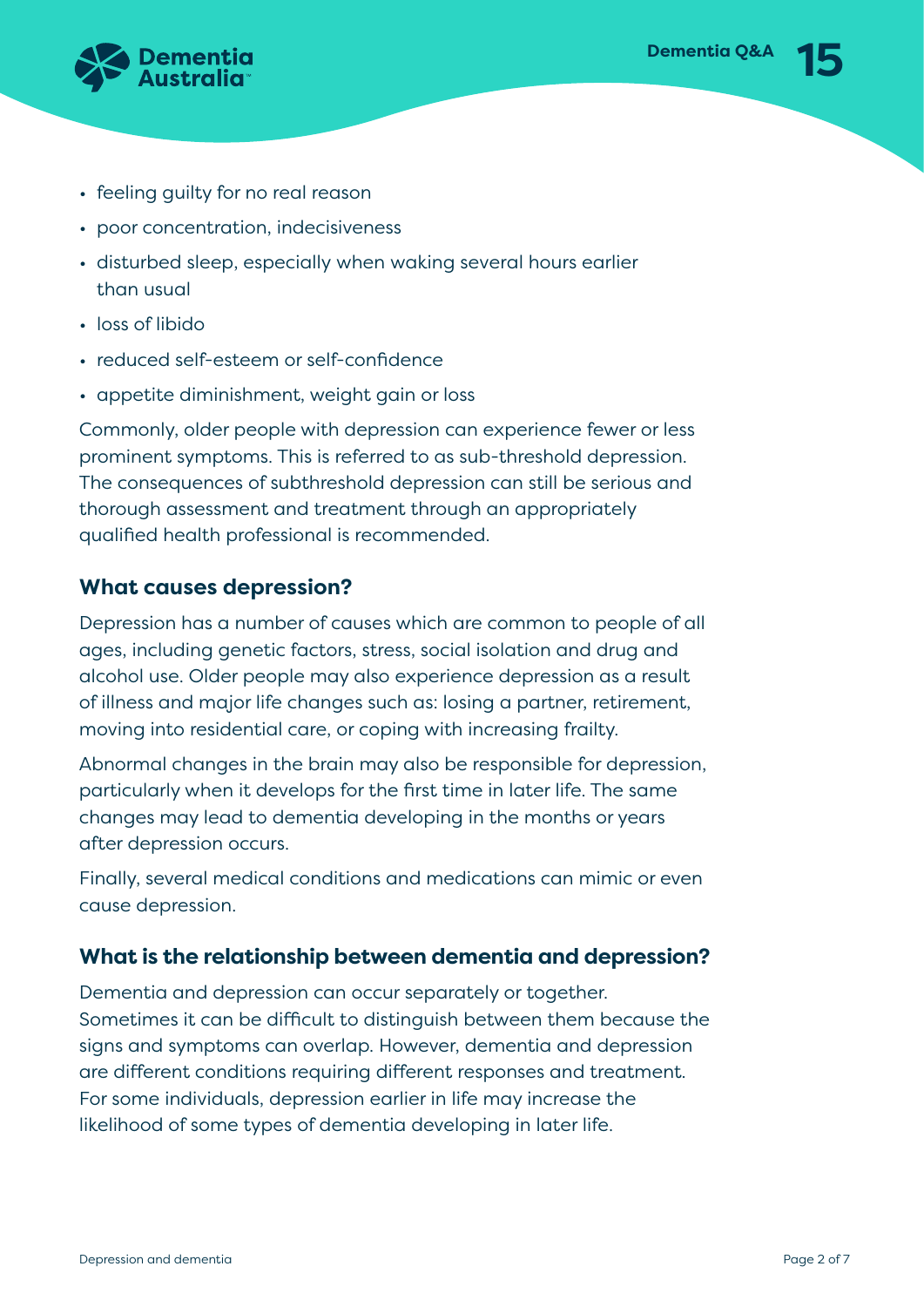

- feeling guilty for no real reason
- poor concentration, indecisiveness
- disturbed sleep, especially when waking several hours earlier than usual
- loss of libido
- reduced self-esteem or self-confidence
- appetite diminishment, weight gain or loss

Commonly, older people with depression can experience fewer or less prominent symptoms. This is referred to as sub-threshold depression. The consequences of subthreshold depression can still be serious and thorough assessment and treatment through an appropriately qualified health professional is recommended.

#### **What causes depression?**

Depression has a number of causes which are common to people of all ages, including genetic factors, stress, social isolation and drug and alcohol use. Older people may also experience depression as a result of illness and major life changes such as: losing a partner, retirement, moving into residential care, or coping with increasing frailty.

Abnormal changes in the brain may also be responsible for depression, particularly when it develops for the first time in later life. The same changes may lead to dementia developing in the months or years after depression occurs.

Finally, several medical conditions and medications can mimic or even cause depression.

#### **What is the relationship between dementia and depression?**

Dementia and depression can occur separately or together. Sometimes it can be difficult to distinguish between them because the signs and symptoms can overlap. However, dementia and depression are different conditions requiring different responses and treatment. For some individuals, depression earlier in life may increase the likelihood of some types of dementia developing in later life.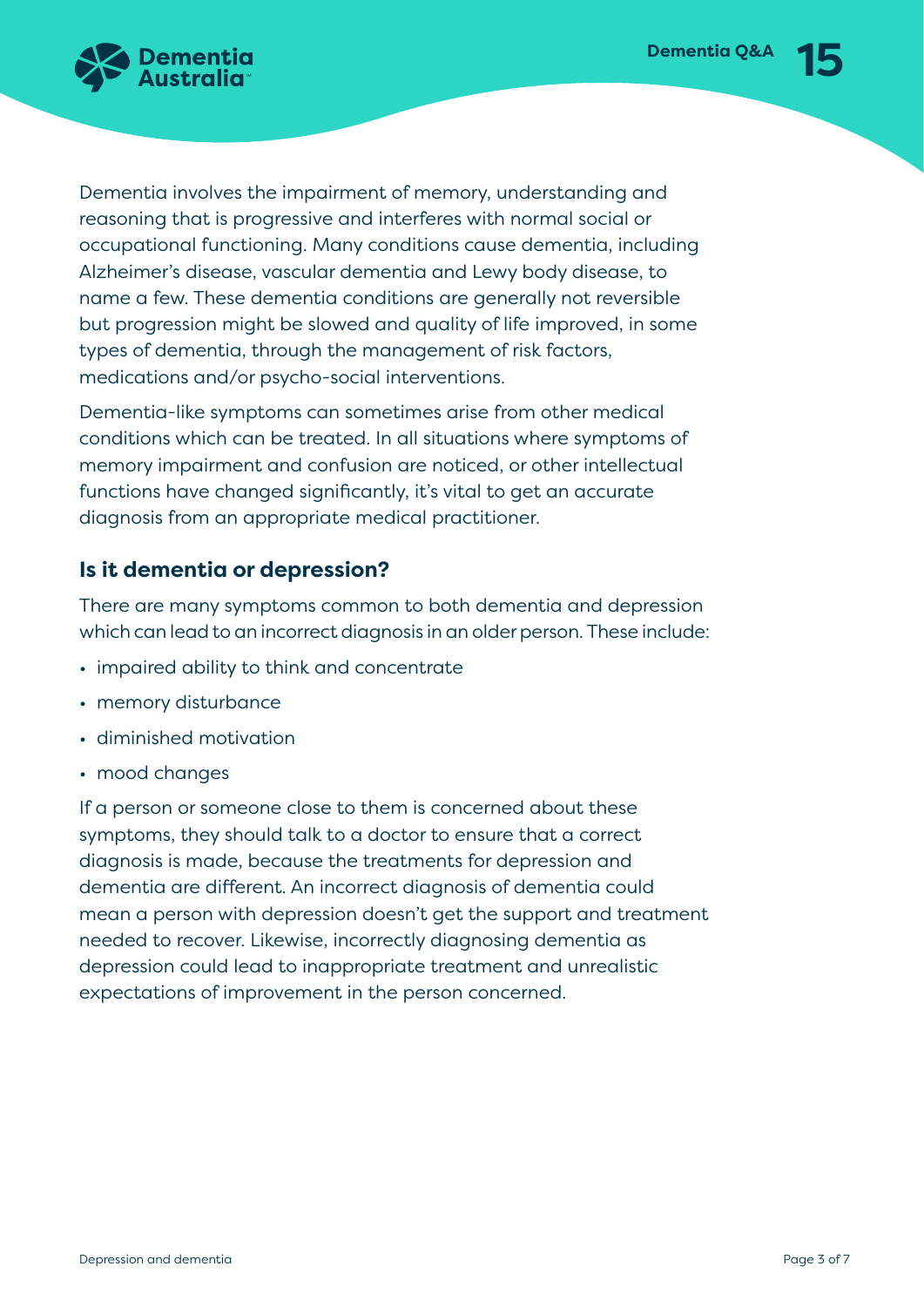

Dementia involves the impairment of memory, understanding and reasoning that is progressive and interferes with normal social or occupational functioning. Many conditions cause dementia, including Alzheimer's disease, vascular dementia and Lewy body disease, to name a few. These dementia conditions are generally not reversible but progression might be slowed and quality of life improved, in some types of dementia, through the management of risk factors, medications and/or psycho-social interventions.

Dementia-like symptoms can sometimes arise from other medical conditions which can be treated. In all situations where symptoms of memory impairment and confusion are noticed, or other intellectual functions have changed significantly, it's vital to get an accurate diagnosis from an appropriate medical practitioner.

### **Is it dementia or depression?**

There are many symptoms common to both dementia and depression which can lead to an incorrect diagnosis in an older person. These include:

- impaired ability to think and concentrate
- memory disturbance
- diminished motivation
- mood changes

If a person or someone close to them is concerned about these symptoms, they should talk to a doctor to ensure that a correct diagnosis is made, because the treatments for depression and dementia are different. An incorrect diagnosis of dementia could mean a person with depression doesn't get the support and treatment needed to recover. Likewise, incorrectly diagnosing dementia as depression could lead to inappropriate treatment and unrealistic expectations of improvement in the person concerned.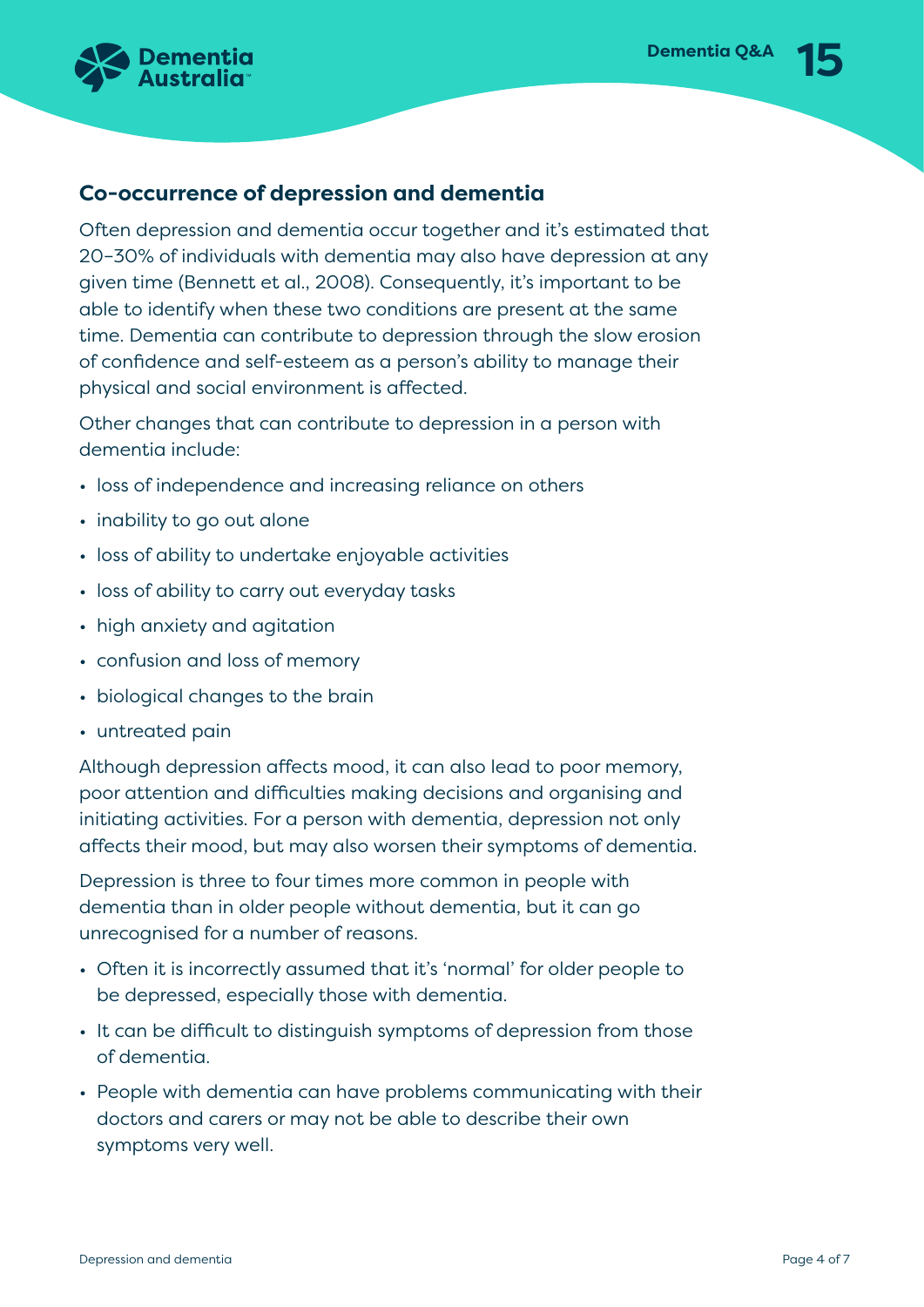

### **Co-occurrence of depression and dementia**

Often depression and dementia occur together and it's estimated that 20–30% of individuals with dementia may also have depression at any given time (Bennett et al., 2008). Consequently, it's important to be able to identify when these two conditions are present at the same time. Dementia can contribute to depression through the slow erosion of confidence and self-esteem as a person's ability to manage their physical and social environment is affected.

Other changes that can contribute to depression in a person with dementia include:

- loss of independence and increasing reliance on others
- inability to go out alone
- loss of ability to undertake enjoyable activities
- loss of ability to carry out everyday tasks
- high anxiety and agitation
- confusion and loss of memory
- biological changes to the brain
- untreated pain

Although depression affects mood, it can also lead to poor memory, poor attention and difficulties making decisions and organising and initiating activities. For a person with dementia, depression not only affects their mood, but may also worsen their symptoms of dementia.

Depression is three to four times more common in people with dementia than in older people without dementia, but it can go unrecognised for a number of reasons.

- Often it is incorrectly assumed that it's 'normal' for older people to be depressed, especially those with dementia.
- It can be difficult to distinguish symptoms of depression from those of dementia.
- People with dementia can have problems communicating with their doctors and carers or may not be able to describe their own symptoms very well.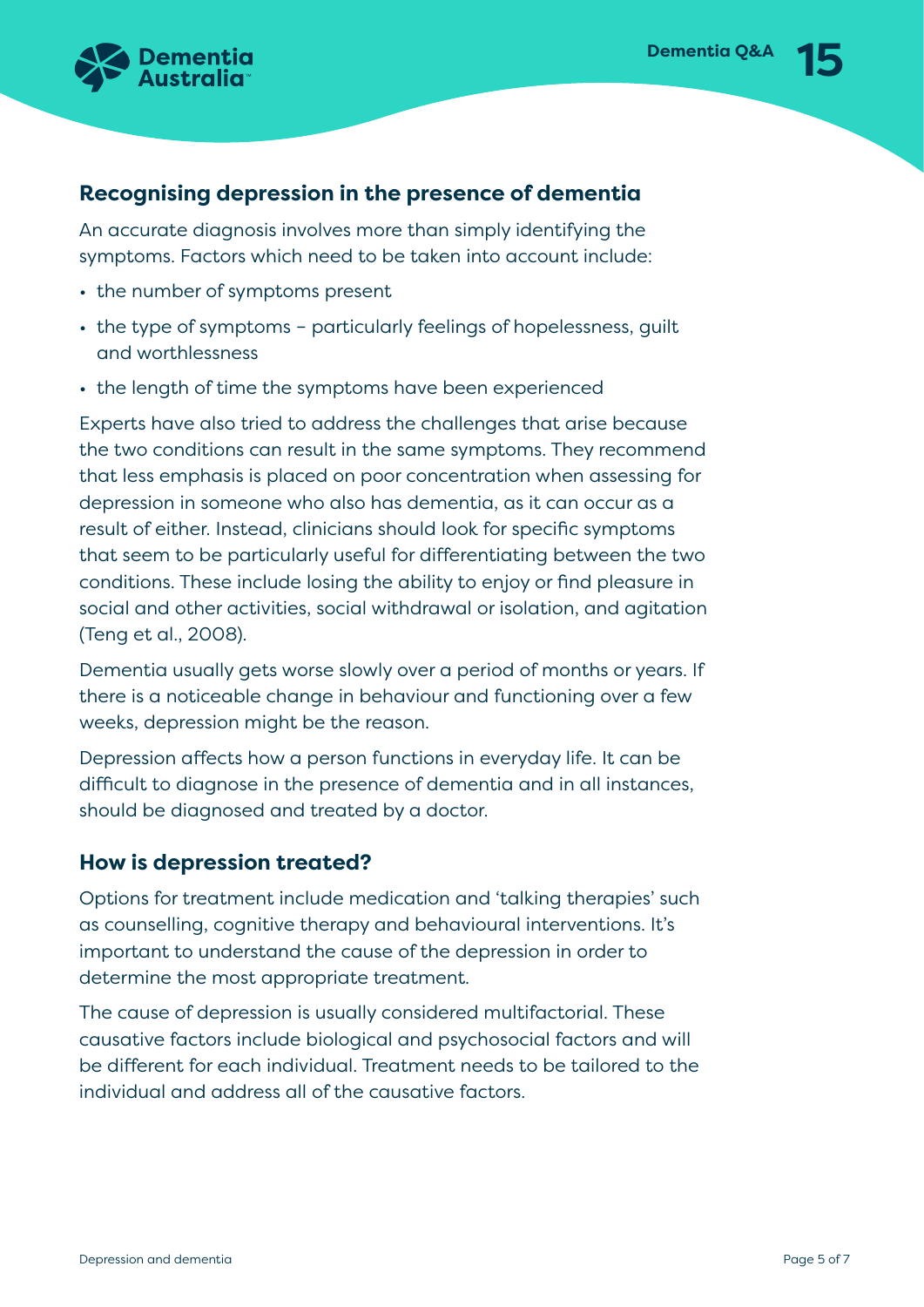

#### **Recognising depression in the presence of dementia**

An accurate diagnosis involves more than simply identifying the symptoms. Factors which need to be taken into account include:

- the number of symptoms present
- the type of symptoms particularly feelings of hopelessness, guilt and worthlessness
- the length of time the symptoms have been experienced

Experts have also tried to address the challenges that arise because the two conditions can result in the same symptoms. They recommend that less emphasis is placed on poor concentration when assessing for depression in someone who also has dementia, as it can occur as a result of either. Instead, clinicians should look for specific symptoms that seem to be particularly useful for differentiating between the two conditions. These include losing the ability to enjoy or find pleasure in social and other activities, social withdrawal or isolation, and agitation (Teng et al., 2008).

Dementia usually gets worse slowly over a period of months or years. If there is a noticeable change in behaviour and functioning over a few weeks, depression might be the reason.

Depression affects how a person functions in everyday life. It can be difficult to diagnose in the presence of dementia and in all instances, should be diagnosed and treated by a doctor.

#### **How is depression treated?**

Options for treatment include medication and 'talking therapies' such as counselling, cognitive therapy and behavioural interventions. It's important to understand the cause of the depression in order to determine the most appropriate treatment.

The cause of depression is usually considered multifactorial. These causative factors include biological and psychosocial factors and will be different for each individual. Treatment needs to be tailored to the individual and address all of the causative factors.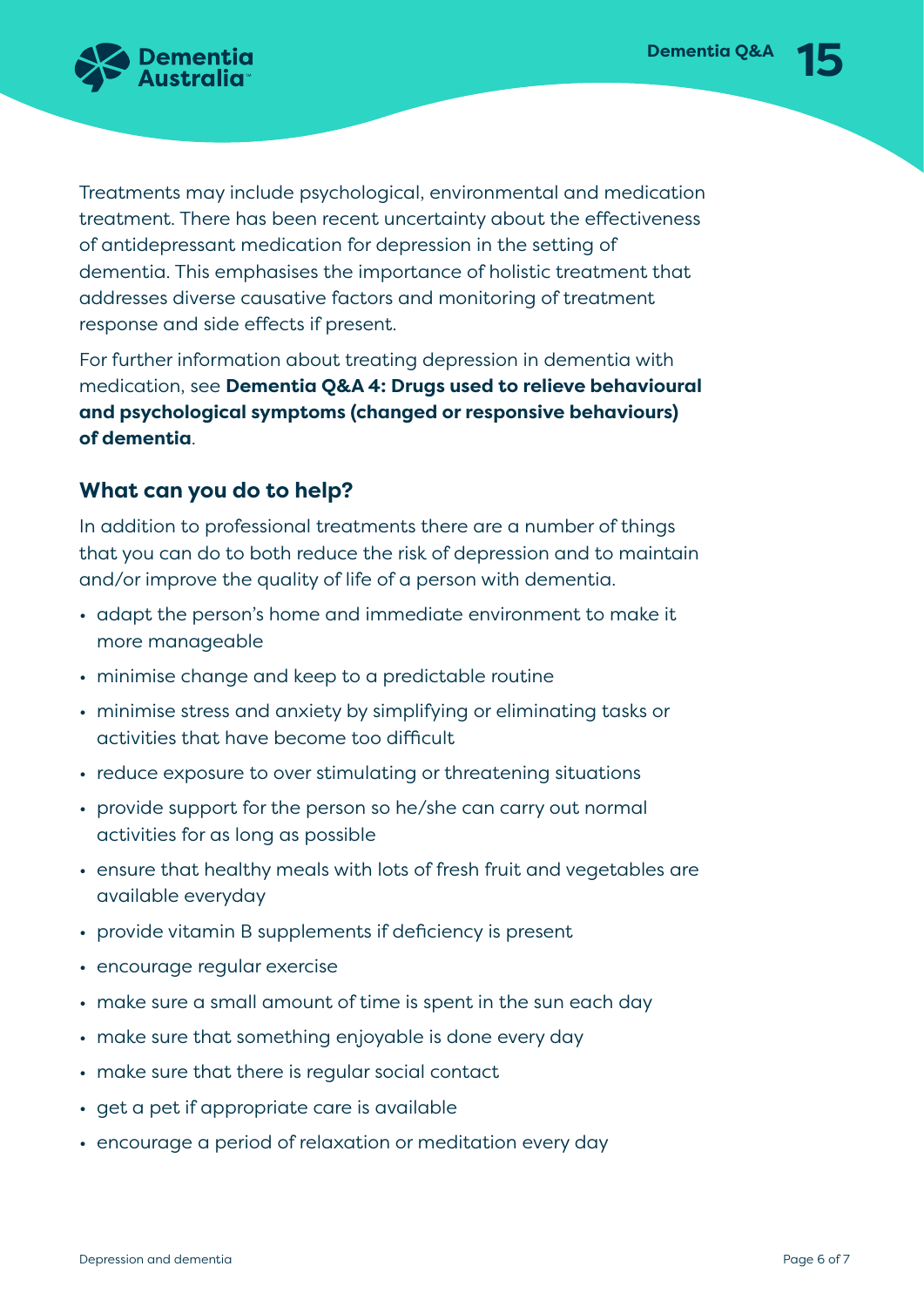

Treatments may include psychological, environmental and medication treatment. There has been recent uncertainty about the effectiveness of antidepressant medication for depression in the setting of dementia. This emphasises the importance of holistic treatment that addresses diverse causative factors and monitoring of treatment response and side effects if present.

For further information about treating depression in dementia with medication, see **Dementia Q&A 4: Drugs used to relieve behavioural and psychological symptoms (changed or responsive behaviours) of dementia**.

### **What can you do to help?**

In addition to professional treatments there are a number of things that you can do to both reduce the risk of depression and to maintain and/or improve the quality of life of a person with dementia.

- adapt the person's home and immediate environment to make it more manageable
- minimise change and keep to a predictable routine
- minimise stress and anxiety by simplifying or eliminating tasks or activities that have become too difficult
- reduce exposure to over stimulating or threatening situations
- provide support for the person so he/she can carry out normal activities for as long as possible
- ensure that healthy meals with lots of fresh fruit and vegetables are available everyday
- provide vitamin B supplements if deficiency is present
- encourage regular exercise
- make sure a small amount of time is spent in the sun each day
- make sure that something enjoyable is done every day
- make sure that there is regular social contact
- get a pet if appropriate care is available
- encourage a period of relaxation or meditation every day